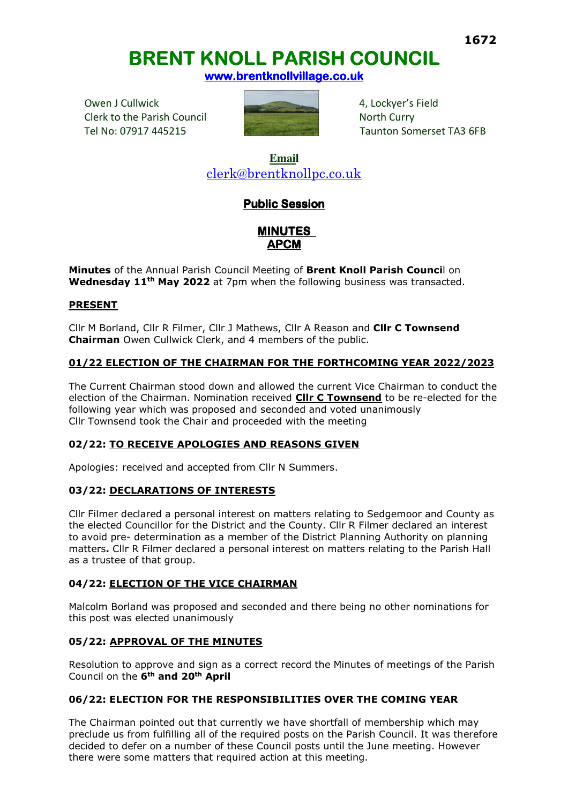# **<sup>1672</sup> BRENT KNOLL PARISH COUNCIL BRENT KNOLL PARISH COUNCIL**

**www.brentknollvillage.co.uk** 

Owen J Cullwick **4, Lockyer's Field** 4, Lockyer's Field Clerk to the Parish Council North Curry



Tel No: 07917 445215 Taunton Somerset TA3 6FB

**Email**  clerk@brentknollpc.co.uk

## **Public Session**

**MINUTES APCM** 

**Minutes** of the Annual Parish Council Meeting of **Brent Knoll Parish Counci**l on **Wednesday 11th May 2022** at 7pm when the following business was transacted.

## **PRESENT**

Cllr M Borland, Cllr R Filmer, Cllr J Mathews, Cllr A Reason and **Cllr C Townsend Chairman** Owen Cullwick Clerk, and 4 members of the public.

## **01/22 ELECTION OF THE CHAIRMAN FOR THE FORTHCOMING YEAR 2022/2023**

The Current Chairman stood down and allowed the current Vice Chairman to conduct the election of the Chairman. Nomination received **Cllr C Townsend** to be re-elected for the following year which was proposed and seconded and voted unanimously Cllr Townsend took the Chair and proceeded with the meeting

## **02/22: TO RECEIVE APOLOGIES AND REASONS GIVEN**

Apologies: received and accepted from Cllr N Summers.

## **03/22: DECLARATIONS OF INTERESTS**

Cllr Filmer declared a personal interest on matters relating to Sedgemoor and County as the elected Councillor for the District and the County. Cllr R Filmer declared an interest to avoid pre- determination as a member of the District Planning Authority on planning matters**.** Cllr R Filmer declared a personal interest on matters relating to the Parish Hall as a trustee of that group.

## **04/22: ELECTION OF THE VICE CHAIRMAN**

Malcolm Borland was proposed and seconded and there being no other nominations for this post was elected unanimously

## **05/22: APPROVAL OF THE MINUTES**

Resolution to approve and sign as a correct record the Minutes of meetings of the Parish Council on the **6th and 20th April** 

## **06/22: ELECTION FOR THE RESPONSIBILITIES OVER THE COMING YEAR**

The Chairman pointed out that currently we have shortfall of membership which may preclude us from fulfilling all of the required posts on the Parish Council. It was therefore decided to defer on a number of these Council posts until the June meeting. However there were some matters that required action at this meeting.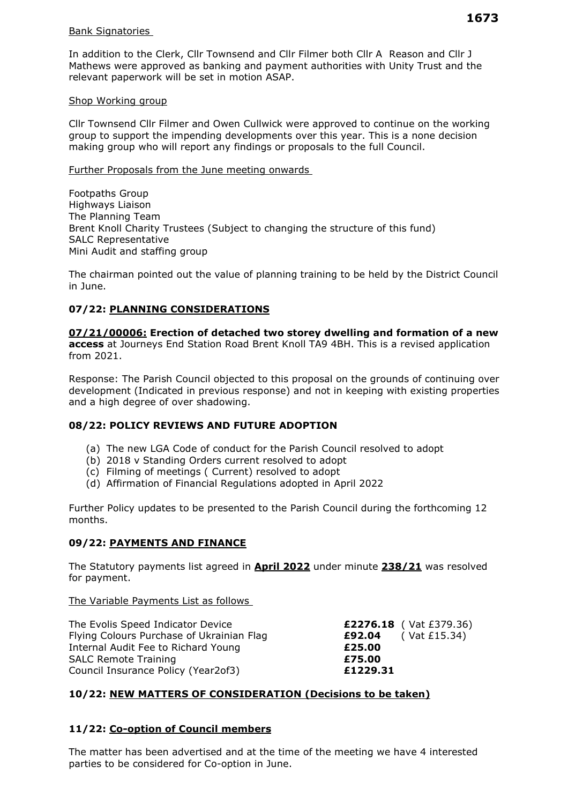#### Bank Signatories

In addition to the Clerk, Cllr Townsend and Cllr Filmer both Cllr A Reason and Cllr J Mathews were approved as banking and payment authorities with Unity Trust and the relevant paperwork will be set in motion ASAP.

#### Shop Working group

Cllr Townsend Cllr Filmer and Owen Cullwick were approved to continue on the working group to support the impending developments over this year. This is a none decision making group who will report any findings or proposals to the full Council.

#### Further Proposals from the June meeting onwards

Footpaths Group Highways Liaison The Planning Team Brent Knoll Charity Trustees (Subject to changing the structure of this fund) SALC Representative Mini Audit and staffing group

The chairman pointed out the value of planning training to be held by the District Council in June.

## **07/22: PLANNING CONSIDERATIONS**

## **07/21/00006: Erection of detached two storey dwelling and formation of a new**

**access** at Journeys End Station Road Brent Knoll TA9 4BH. This is a revised application from 2021.

Response: The Parish Council objected to this proposal on the grounds of continuing over development (Indicated in previous response) and not in keeping with existing properties and a high degree of over shadowing.

## **08/22: POLICY REVIEWS AND FUTURE ADOPTION**

- (a) The new LGA Code of conduct for the Parish Council resolved to adopt
- (b) 2018 v Standing Orders current resolved to adopt
- (c) Filming of meetings ( Current) resolved to adopt
- (d) Affirmation of Financial Regulations adopted in April 2022

Further Policy updates to be presented to the Parish Council during the forthcoming 12 months.

## **09/22: PAYMENTS AND FINANCE**

The Statutory payments list agreed in **April 2022** under minute **238/21** was resolved for payment.

The Variable Payments List as follows

| The Evolis Speed Indicator Device         | £2276.18 ( $\text{Vat } \text{\pounds}379.36$ ) |
|-------------------------------------------|-------------------------------------------------|
| Flying Colours Purchase of Ukrainian Flag | <b>£92.04</b> (Vat £15.34)                      |
| Internal Audit Fee to Richard Young       | £25.00                                          |
| <b>SALC Remote Training</b>               | £75.00                                          |
| Council Insurance Policy (Year2of3)       | £1229.31                                        |

## **10/22: NEW MATTERS OF CONSIDERATION (Decisions to be taken)**

## **11/22: Co-option of Council members**

The matter has been advertised and at the time of the meeting we have 4 interested parties to be considered for Co-option in June.